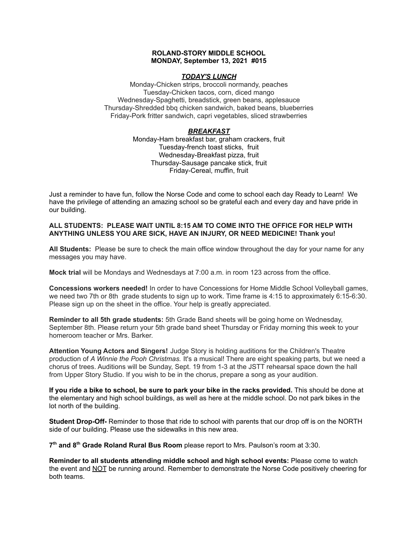## **ROLAND-STORY MIDDLE SCHOOL MONDAY, September 13, 2021 #015**

### *TODAY'S LUNCH*

Monday-Chicken strips, broccoli normandy, peaches Tuesday-Chicken tacos, corn, diced mango Wednesday-Spaghetti, breadstick, green beans, applesauce Thursday-Shredded bbq chicken sandwich, baked beans, blueberries Friday-Pork fritter sandwich, capri vegetables, sliced strawberries

# *BREAKFAST*

Monday-Ham breakfast bar, graham crackers, fruit Tuesday-french toast sticks, fruit Wednesday-Breakfast pizza, fruit Thursday-Sausage pancake stick, fruit Friday-Cereal, muffin, fruit

Just a reminder to have fun, follow the Norse Code and come to school each day Ready to Learn! We have the privilege of attending an amazing school so be grateful each and every day and have pride in our building.

## **ALL STUDENTS: PLEASE WAIT UNTIL 8:15 AM TO COME INTO THE OFFICE FOR HELP WITH ANYTHING UNLESS YOU ARE SICK, HAVE AN INJURY, OR NEED MEDICINE! Thank you!**

**All Students:** Please be sure to check the main office window throughout the day for your name for any messages you may have.

**Mock trial** will be Mondays and Wednesdays at 7:00 a.m. in room 123 across from the office.

**Concessions workers needed!** In order to have Concessions for Home Middle School Volleyball games, we need two 7th or 8th grade students to sign up to work. Time frame is 4:15 to approximately 6:15-6:30. Please sign up on the sheet in the office. Your help is greatly appreciated.

**Reminder to all 5th grade students:** 5th Grade Band sheets will be going home on Wednesday, September 8th. Please return your 5th grade band sheet Thursday or Friday morning this week to your homeroom teacher or Mrs. Barker.

**Attention Young Actors and Singers!** Judge Story is holding auditions for the Children's Theatre production of *A Winnie the Pooh Christmas.* It's a musical! There are eight speaking parts, but we need a chorus of trees. Auditions will be Sunday, Sept. 19 from 1-3 at the JSTT rehearsal space down the hall from Upper Story Studio. If you wish to be in the chorus, prepare a song as your audition.

**If you ride a bike to school, be sure to park your bike in the racks provided.** This should be done at the elementary and high school buildings, as well as here at the middle school. Do not park bikes in the lot north of the building.

**Student Drop-Off-** Reminder to those that ride to school with parents that our drop off is on the NORTH side of our building. Please use the sidewalks in this new area.

**7 th and 8 th Grade Roland Rural Bus Room** please report to Mrs. Paulson's room at 3:30.

**Reminder to all students attending middle school and high school events:** Please come to watch the event and NOT be running around. Remember to demonstrate the Norse Code positively cheering for both teams.